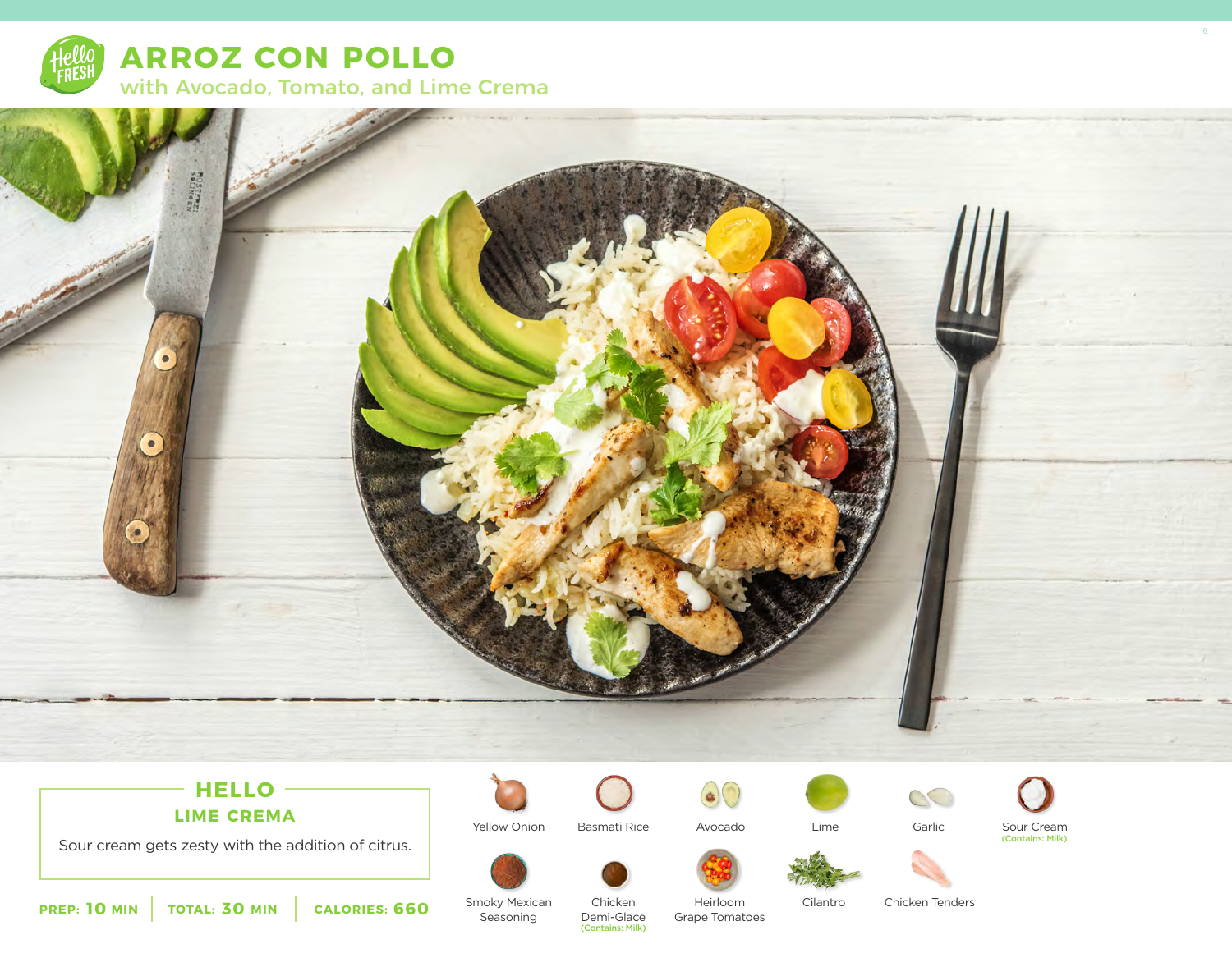



# $-HELLO -$

**LIME CREMA**

Sour cream gets zesty with the addition of citrus.



Yellow Onion Basmati Rice

Avocado





Sour Cream (Contains: Milk)







Cilantro

Heirloom Cilantro Chicken Tenders

**10** MIN | TOTAL: 30 MIN | CALORIES: 660

Smoky Mexican Seasoning

Chicken Demi-Glace (Contains: Milk)

Grape Tomatoes